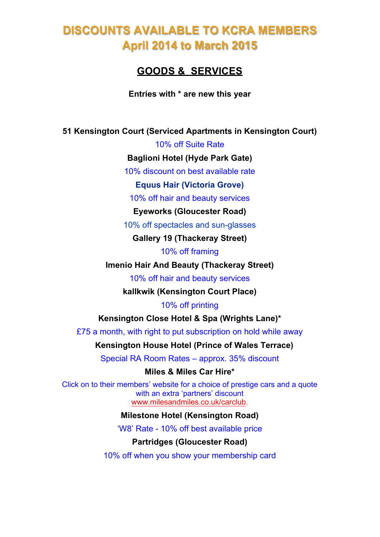## **DISCOUNTS AVAILABLE TO KCRA MEMBERS April 2014 to March 2015**

## **GOODS & SERVICES**

**Entries with \* are new this year**

**51 Kensington Court (Serviced Apartments in Kensington Court)**

10% off Suite Rate

**Baglioni Hotel (Hyde Park Gate)**

10% discount on best available rate

**Equus Hair (Victoria Grove)**

10% off hair and beauty services

**Eyeworks (Gloucester Road)**

10% off spectacles and sun-glasses

**Gallery 19 (Thackeray Street)**

10% off framing

**Imenio Hair And Beauty (Thackeray Street)**

10% off hair and beauty services

**kallkwik (Kensington Court Place)**

10% off printing

**Kensington Close Hotel & Spa (Wrights Lane)\***

£75 a month, with right to put subscription on hold while away

**Kensington House Hotel (Prince of Wales Terrace)**

Special RA Room Rates – approx. 35% discount

**Miles & Miles Car Hire\***

Click on to their members' website for a choice of prestige cars and a quote with an extra 'partners' discount www.milesandmiles.co.uk/carclub.

**Milestone Hotel (Kensington Road)**

'W8' Rate - 10% off best available price

**Partridges (Gloucester Road)**

10% off when you show your membership card